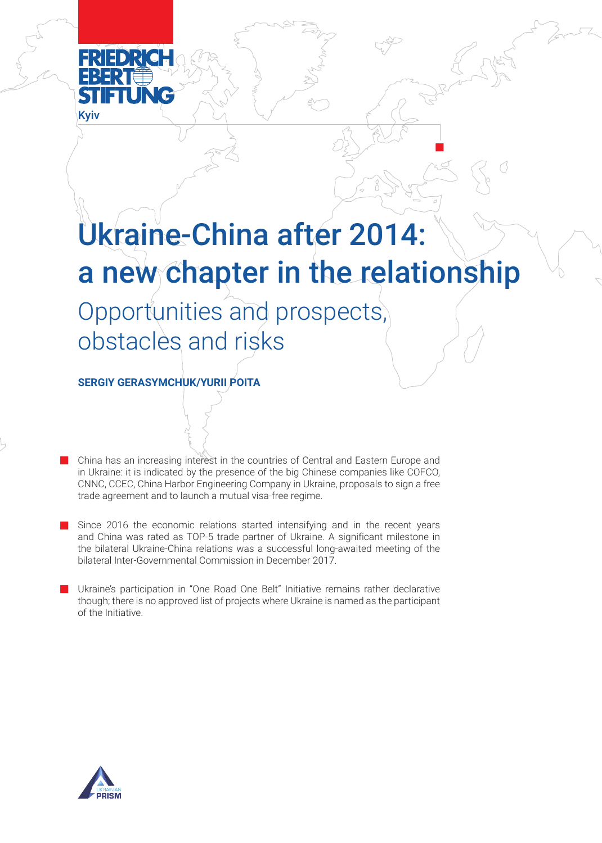

# Ukraine-China after 2014: a new chapter in the relationship

n

Opportunities and prospects, obstacles and risks

**SERGIY GERASYMCHUK/YURII POITA**

n China has an increasing interest in the countries of Central and Eastern Europe and in Ukraine: it is indicated by the presence of the big Chinese companies like COFCO, CNNC, CCEC, China Harbor Engineering Company in Ukraine, proposals to sign a free trade agreement and to launch a mutual visa-free regime.

- n Since 2016 the economic relations started intensifying and in the recent years and China was rated as TOP-5 trade partner of Ukraine. A significant milestone in the bilateral Ukraine-China relations was a successful long-awaited meeting of the bilateral Inter-Governmental Commission in December 2017.
- n Ukraine's participation in "One Road One Belt" Initiative remains rather declarative though; there is no approved list of projects where Ukraine is named as the participant of the Initiative.

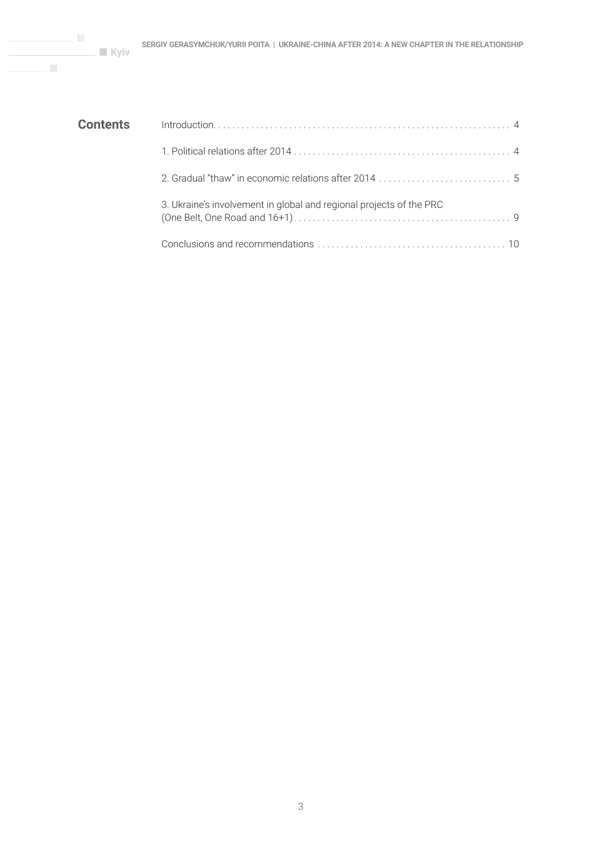| <b>Contents</b> |                                                                     |
|-----------------|---------------------------------------------------------------------|
|                 |                                                                     |
|                 |                                                                     |
|                 | 3. Ukraine's involvement in global and regional projects of the PRC |
|                 |                                                                     |

 $\mathcal{C}^{\mathcal{C}}$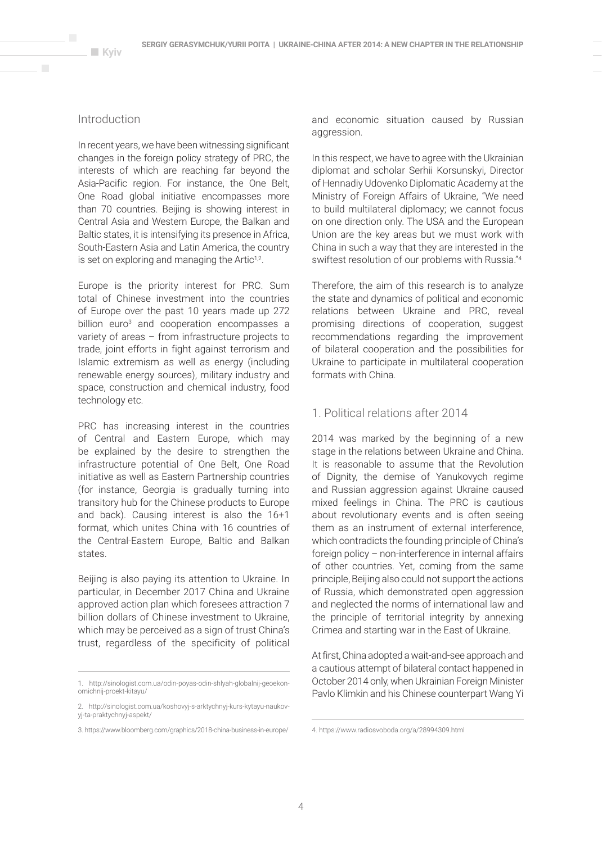# Introduction

 $\overline{\phantom{a}}$ 

In recent years, we have been witnessing significant changes in the foreign policy strategy of PRC, the interests of which are reaching far beyond the Asia-Pacific region. For instance, the One Belt, One Road global initiative encompasses more than 70 countries. Beijing is showing interest in Central Asia and Western Europe, the Balkan and Baltic states, it is intensifying its presence in Africa, South-Eastern Asia and Latin America, the country is set on exploring and managing the Artic<sup>1,2</sup>.

Europe is the priority interest for PRC. Sum total of Chinese investment into the countries of Europe over the past 10 years made up 272 billion euro<sup>3</sup> and cooperation encompasses a variety of areas – from infrastructure projects to trade, joint efforts in fight against terrorism and Islamic extremism as well as energy (including renewable energy sources), military industry and space, construction and chemical industry, food technology etc.

PRC has increasing interest in the countries of Central and Eastern Europe, which may be explained by the desire to strengthen the infrastructure potential of One Belt, One Road initiative as well as Eastern Partnership countries (for instance, Georgia is gradually turning into transitory hub for the Chinese products to Europe and back). Causing interest is also the 16+1 format, which unites China with 16 countries of the Central-Eastern Europe, Baltic and Balkan states.

Beijing is also paying its attention to Ukraine. In particular, in December 2017 China and Ukraine approved action plan which foresees attraction 7 billion dollars of Chinese investment to Ukraine, which may be perceived as a sign of trust China's trust, regardless of the specificity of political

and economic situation caused by Russian aggression.

In this respect, we have to agree with the Ukrainian diplomat and scholar Serhii Korsunskyi, Director of Hennadiy Udovenko Diplomatic Academy at the Ministry of Foreign Affairs of Ukraine, "We need to build multilateral diplomacy; we cannot focus on one direction only. The USA and the European Union are the key areas but we must work with China in such a way that they are interested in the swiftest resolution of our problems with Russia."4

Therefore, the aim of this research is to analyze the state and dynamics of political and economic relations between Ukraine and PRC, reveal promising directions of cooperation, suggest recommendations regarding the improvement of bilateral cooperation and the possibilities for Ukraine to participate in multilateral cooperation formats with China.

## 1. Political relations after 2014

2014 was marked by the beginning of a new stage in the relations between Ukraine and China. It is reasonable to assume that the Revolution of Dignity, the demise of Yanukovych regime and Russian aggression against Ukraine caused mixed feelings in China. The PRC is cautious about revolutionary events and is often seeing them as an instrument of external interference, which contradicts the founding principle of China's foreign policy – non-interference in internal affairs of other countries. Yet, coming from the same principle, Beijing also could not support the actions of Russia, which demonstrated open aggression and neglected the norms of international law and the principle of territorial integrity by annexing Crimea and starting war in the East of Ukraine.

At first, China adopted a wait-and-see approach and a cautious attempt of bilateral contact happened in October 2014 only, when Ukrainian Foreign Minister Pavlo Klimkin and his Chinese counterpart Wang Yi

<sup>1.</sup> http://sinologist.com.ua/odin-poyas-odin-shlyah-globalnij-geoekonomichnij-proekt-kitayu/

<sup>2.</sup> http://sinologist.com.ua/koshovyj-s-arktychnyj-kurs-kytayu-naukovyj-ta-praktychnyj-aspekt/

<sup>3.</sup> https://www.bloomberg.com/graphics/2018-china-business-in-europe/

<sup>4.</sup> https://www.radiosvoboda.org/a/28994309.html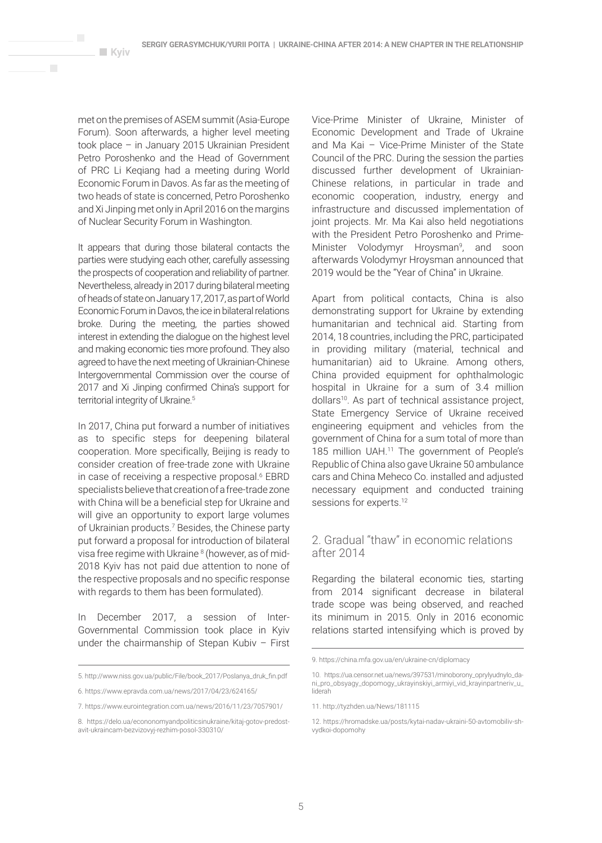met on the premises of ASEM summit (Asia-Europe Forum). Soon afterwards, a higher level meeting took place – in January 2015 Ukrainian President Petro Poroshenko and the Head of Government of PRC Li Keqiang had a meeting during World Economic Forum in Davos. As far as the meeting of two heads of state is concerned, Petro Poroshenko and Xi Jinping met only in April 2016 on the margins of Nuclear Security Forum in Washington.

**Kyiv** 

 $\mathbf{r}$ 

It appears that during those bilateral contacts the parties were studying each other, carefully assessing the prospects of cooperation and reliability of partner. Nevertheless, already in 2017 during bilateral meeting of heads of state on January 17, 2017, as part of World Economic Forum in Davos, the ice in bilateral relations broke. During the meeting, the parties showed interest in extending the dialogue on the highest level and making economic ties more profound. They also agreed to have the next meeting of Ukrainian-Chinese Intergovernmental Commission over the course of 2017 and Xi Jinping confirmed China's support for territorial integrity of Ukraine.<sup>5</sup>

In 2017, China put forward a number of initiatives as to specific steps for deepening bilateral cooperation. More specifically, Beijing is ready to consider creation of free-trade zone with Ukraine in case of receiving a respective proposal.<sup>6</sup> EBRD specialists believe that creation of a free-trade zone with China will be a beneficial step for Ukraine and will give an opportunity to export large volumes of Ukrainian products.<sup>7</sup> Besides, the Chinese party put forward a proposal for introduction of bilateral visa free regime with Ukraine<sup>8</sup> (however, as of mid-2018 Kyiv has not paid due attention to none of the respective proposals and no specific response with regards to them has been formulated).

In December 2017, a session of Inter-Governmental Commission took place in Kyiv under the chairmanship of Stepan Kubiv – First

Vice-Prime Minister of Ukraine, Minister of Economic Development and Trade of Ukraine and Ma Kai – Vice-Prime Minister of the State Council of the PRC. During the session the parties discussed further development of Ukrainian-Chinese relations, in particular in trade and economic cooperation, industry, energy and infrastructure and discussed implementation of joint projects. Mr. Ma Kai also held negotiations with the President Petro Poroshenko and Prime-Minister Volodymyr Hroysman<sup>9</sup>, and soon afterwards Volodymyr Hroysman announced that 2019 would be the "Year of China" in Ukraine.

Apart from political contacts, China is also demonstrating support for Ukraine by extending humanitarian and technical aid. Starting from 2014, 18 countries, including the PRC, participated in providing military (material, technical and humanitarian) aid to Ukraine. Among others, China provided equipment for ophthalmologic hospital in Ukraine for a sum of 3.4 million dollars<sup>10</sup>. As part of technical assistance project, State Emergency Service of Ukraine received engineering equipment and vehicles from the government of China for a sum total of more than 185 million UAH.11 The government of People's Republic of China also gave Ukraine 50 ambulance cars and China Meheco Co. installed and adjusted necessary equipment and conducted training sessions for experts.<sup>12</sup>

# 2. Gradual "thaw" in economic relations after 2014

Regarding the bilateral economic ties, starting from 2014 significant decrease in bilateral trade scope was being observed, and reached its minimum in 2015. Only in 2016 economic relations started intensifying which is proved by

<sup>5.</sup> http://www.niss.gov.ua/public/File/book\_2017/Poslanya\_druk\_fin.pdf

<sup>6.</sup> https://www.epravda.com.ua/news/2017/04/23/624165/

<sup>7.</sup> https://www.eurointegration.com.ua/news/2016/11/23/7057901/

<sup>8.</sup> https://delo.ua/econonomyandpoliticsinukraine/kitaj-gotov-predostavit-ukraincam-bezvizovyj-rezhim-posol-330310/

<sup>9.</sup> https://china.mfa.gov.ua/en/ukraine-cn/diplomacy

<sup>10.</sup> https://ua.censor.net.ua/news/397531/minoborony\_oprylyudnylo\_dani\_pro\_obsyagy\_dopomogy\_ukrayinskiyi\_armiyi\_vid\_krayinpartneriv\_u\_ liderah

<sup>11.</sup> http://tyzhden.ua/News/181115

<sup>12.</sup> https://hromadske.ua/posts/kytai-nadav-ukraini-50-avtomobiliv-shvydkoi-dopomohy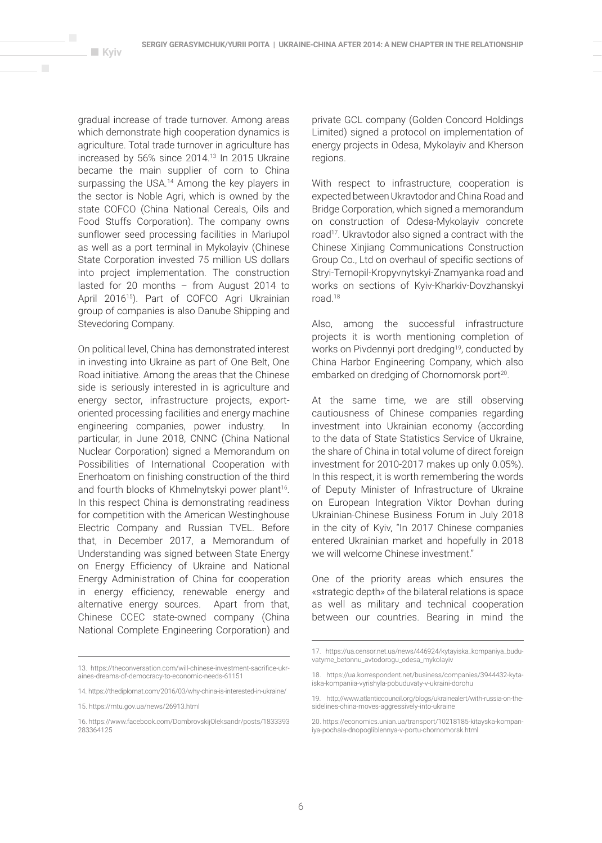$\overline{\phantom{a}}$ 

gradual increase of trade turnover. Among areas which demonstrate high cooperation dynamics is agriculture. Total trade turnover in agriculture has increased by 56% since 2014.13 In 2015 Ukraine became the main supplier of corn to China surpassing the USA.<sup>14</sup> Among the key players in the sector is Noble Agri, which is owned by the state COFCO (China National Cereals, Oils and Food Stuffs Corporation). The company owns sunflower seed processing facilities in Mariupol as well as a port terminal in Mykolayiv (Chinese State Corporation invested 75 million US dollars into project implementation. The construction lasted for 20 months – from August 2014 to April 2016<sup>15</sup>). Part of COFCO Agri Ukrainian group of companies is also Danube Shipping and Stevedoring Company.

On political level, China has demonstrated interest in investing into Ukraine as part of One Belt, One Road initiative. Among the areas that the Chinese side is seriously interested in is agriculture and energy sector, infrastructure projects, exportoriented processing facilities and energy machine engineering companies, power industry. In particular, in June 2018, CNNC (China National Nuclear Corporation) signed a Memorandum on Possibilities of International Cooperation with Enerhoatom on finishing construction of the third and fourth blocks of Khmelnytskyi power plant<sup>16</sup>. In this respect China is demonstrating readiness for competition with the American Westinghouse Electric Company and Russian TVEL. Before that, in December 2017, a Memorandum of Understanding was signed between State Energy on Energy Efficiency of Ukraine and National Energy Administration of China for cooperation in energy efficiency, renewable energy and alternative energy sources. Apart from that, Chinese CCEC state-owned company (China National Complete Engineering Corporation) and

private GCL company (Golden Concord Holdings Limited) signed a protocol on implementation of energy projects in Odesa, Mykolayiv and Kherson regions.

With respect to infrastructure, cooperation is expected between Ukravtodor and China Road and Bridge Corporation, which signed a memorandum on construction of Odesa-Mykolayiv concrete road<sup>17</sup>. Ukravtodor also signed a contract with the Chinese Xinjiang Communications Construction Group Co., Ltd on overhaul of specific sections of Stryi-Ternopil-Kropyvnytskyi-Znamyanka road and works on sections of Kyiv-Kharkiv-Dovzhanskyi road.18

Also, among the successful infrastructure projects it is worth mentioning completion of works on Pivdennyi port dredging<sup>19</sup>, conducted by China Harbor Engineering Company, which also embarked on dredging of Chornomorsk port<sup>20</sup>.

At the same time, we are still observing cautiousness of Chinese companies regarding investment into Ukrainian economy (according to the data of State Statistics Service of Ukraine, the share of China in total volume of direct foreign investment for 2010-2017 makes up only 0.05%). In this respect, it is worth remembering the words of Deputy Minister of Infrastructure of Ukraine on European Integration Viktor Dovhan during Ukrainian-Chinese Business Forum in July 2018 in the city of Kyiv, "In 2017 Chinese companies entered Ukrainian market and hopefully in 2018 we will welcome Chinese investment."

One of the priority areas which ensures the «strategic depth» of the bilateral relations is space as well as military and technical cooperation between our countries. Bearing in mind the

<sup>13.</sup> https://theconversation.com/will-chinese-investment-sacrifice-ukraines-dreams-of-democracy-to-economic-needs-61151

<sup>14.</sup> https://thediplomat.com/2016/03/why-china-is-interested-in-ukraine/

<sup>15.</sup> https://mtu.gov.ua/news/26913.html

<sup>16.</sup> https://www.facebook.com/DombrovskijOleksandr/posts/1833393 283364125

<sup>17.</sup> https://ua.censor.net.ua/news/446924/kytayiska\_kompaniya\_buduvatyme\_betonnu\_avtodorogu\_odesa\_mykolayiv

<sup>18.</sup> https://ua.korrespondent.net/business/companies/3944432-kytaiska-kompaniia-vyrishyla-pobuduvaty-v-ukraini-dorohu

<sup>19.</sup> http://www.atlanticcouncil.org/blogs/ukrainealert/with-russia-on-thesidelines-china-moves-aggressively-into-ukraine

<sup>20.</sup> https://economics.unian.ua/transport/10218185-kitayska-kompaniya-pochala-dnopogliblennya-v-portu-chornomorsk.html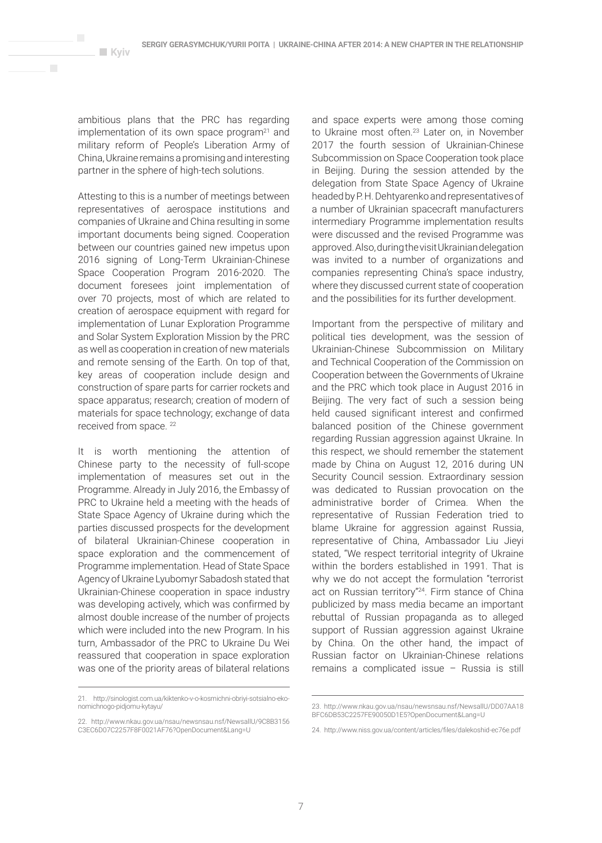ambitious plans that the PRC has regarding implementation of its own space program<sup>21</sup> and military reform of People's Liberation Army of China, Ukraine remains a promising and interesting partner in the sphere of high-tech solutions.

**Kyiv** 

 $\mathbf{r}$ 

Attesting to this is a number of meetings between representatives of aerospace institutions and companies of Ukraine and China resulting in some important documents being signed. Cooperation between our countries gained new impetus upon 2016 signing of Long-Term Ukrainian-Chinese Space Cooperation Program 2016-2020. The document foresees joint implementation of over 70 projects, most of which are related to creation of aerospace equipment with regard for implementation of Lunar Exploration Programme and Solar System Exploration Mission by the PRC as well as cooperation in creation of new materials and remote sensing of the Earth. On top of that, key areas of cooperation include design and construction of spare parts for carrier rockets and space apparatus; research; creation of modern of materials for space technology; exchange of data received from space. <sup>22</sup>

It is worth mentioning the attention of Chinese party to the necessity of full-scope implementation of measures set out in the Programme. Already in July 2016, the Embassy of PRC to Ukraine held a meeting with the heads of State Space Agency of Ukraine during which the parties discussed prospects for the development of bilateral Ukrainian-Chinese cooperation in space exploration and the commencement of Programme implementation. Head of State Space Agency of Ukraine Lyubomyr Sabadosh stated that Ukrainian-Chinese cooperation in space industry was developing actively, which was confirmed by almost double increase of the number of projects which were included into the new Program. In his turn, Ambassador of the PRC to Ukraine Du Wei reassured that cooperation in space exploration was one of the priority areas of bilateral relations

and space experts were among those coming to Ukraine most often.23 Later on, in November 2017 the fourth session of Ukrainian-Chinese Subcommission on Space Cooperation took place in Beijing. During the session attended by the delegation from State Space Agency of Ukraine headed by P. H. Dehtyarenko and representatives of a number of Ukrainian spacecraft manufacturers intermediary Programme implementation results were discussed and the revised Programme was approved. Also, during the visit Ukrainian delegation was invited to a number of organizations and companies representing China's space industry, where they discussed current state of cooperation and the possibilities for its further development.

Important from the perspective of military and political ties development, was the session of Ukrainian-Chinese Subcommission on Military and Technical Cooperation of the Commission on Cooperation between the Governments of Ukraine and the PRC which took place in August 2016 in Beijing. The very fact of such a session being held caused significant interest and confirmed balanced position of the Chinese government regarding Russian aggression against Ukraine. In this respect, we should remember the statement made by China on August 12, 2016 during UN Security Council session. Extraordinary session was dedicated to Russian provocation on the administrative border of Crimea. When the representative of Russian Federation tried to blame Ukraine for aggression against Russia, representative of China, Ambassador Liu Jieyi stated, "We respect territorial integrity of Ukraine within the borders established in 1991. That is why we do not accept the formulation "terrorist act on Russian territory"24. Firm stance of China publicized by mass media became an important rebuttal of Russian propaganda as to alleged support of Russian aggression against Ukraine by China. On the other hand, the impact of Russian factor on Ukrainian-Chinese relations remains a complicated issue – Russia is still

<sup>21.</sup> http://sinologist.com.ua/kiktenko-v-o-kosmichni-obriyi-sotsialno-ekonomichnogo-pidjomu-kytayu/

<sup>22.</sup> http://www.nkau.gov.ua/nsau/newsnsau.nsf/NewsallU/9C8B3156 C3EC6D07C2257F8F0021AF76?OpenDocument&Lang=U

<sup>23.</sup> http://www.nkau.gov.ua/nsau/newsnsau.nsf/NewsallU/DD07AA18 BFC6DB53C2257FF90050D1F5?OpenDocument&Lang=U

<sup>24.</sup> http://www.niss.gov.ua/content/articles/files/dalekoshid-ec76e.pdf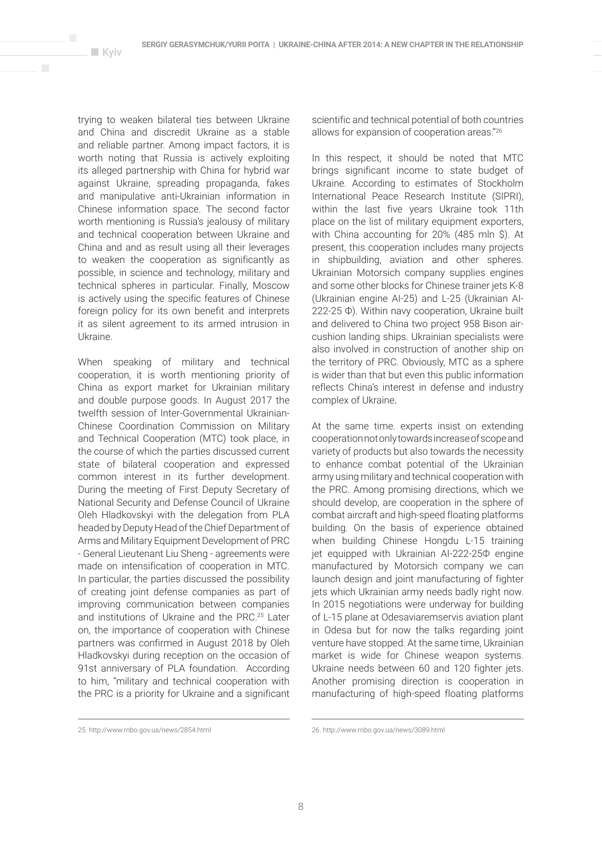$\overline{\phantom{a}}$ 

trying to weaken bilateral ties between Ukraine and China and discredit Ukraine as a stable and reliable partner. Among impact factors, it is worth noting that Russia is actively exploiting its alleged partnership with China for hybrid war against Ukraine, spreading propaganda, fakes and manipulative anti-Ukrainian information in Chinese information space. The second factor worth mentioning is Russia's jealousy of military and technical cooperation between Ukraine and China and and as result using all their leverages to weaken the cooperation as significantly as possible, in science and technology, military and technical spheres in particular. Finally, Moscow is actively using the specific features of Chinese foreign policy for its own benefit and interprets it as silent agreement to its armed intrusion in Ukraine.

When speaking of military and technical cooperation, it is worth mentioning priority of China as export market for Ukrainian military and double purpose goods. In August 2017 the twelfth session of Inter-Governmental Ukrainian-Chinese Coordination Commission on Military and Technical Cooperation (MTC) took place, in the course of which the parties discussed current state of bilateral cooperation and expressed common interest in its further development. During the meeting of First Deputy Secretary of National Security and Defense Council of Ukraine Oleh Hladkovskyi with the delegation from PLA headed by Deputy Head of the Chief Department of Arms and Military Equipment Development of PRC - General Lieutenant Liu Sheng - agreements were made on intensification of cooperation in MTC. In particular, the parties discussed the possibility of creating joint defense companies as part of improving communication between companies and institutions of Ukraine and the PRC.25 Later on, the importance of cooperation with Chinese partners was confirmed in August 2018 by Oleh Hladkovskyi during reception on the occasion of 91st anniversary of PLA foundation. According to him, "military and technical cooperation with the PRC is a priority for Ukraine and a significant

scientific and technical potential of both countries allows for expansion of cooperation areas."26

In this respect, it should be noted that MTC brings significant income to state budget of Ukraine. According to estimates of Stockholm International Peace Research Institute (SIPRI), within the last five years Ukraine took 11th place on the list of military equipment exporters, with China accounting for 20% (485 mln \$). At present, this cooperation includes many projects in shipbuilding, aviation and other spheres. Ukrainian Motorsich company supplies engines and some other blocks for Chinese trainer jets K-8 (Ukrainian engine AI-25) and L-25 (Ukrainian AI-222-25 Ф). Within navy cooperation, Ukraine built and delivered to China two project 958 Bison aircushion landing ships. Ukrainian specialists were also involved in construction of another ship on the territory of PRC. Obviously, MTC as a sphere is wider than that but even this public information reflects China's interest in defense and industry complex of Ukraine.

At the same time. experts insist on extending cooperation not only towards increase of scope and variety of products but also towards the necessity to enhance combat potential of the Ukrainian army using military and technical cooperation with the PRC. Among promising directions, which we should develop, are cooperation in the sphere of combat aircraft and high-speed floating platforms building. On the basis of experience obtained when building Chinese Hongdu L-15 training jet equipped with Ukrainian AI-222-25Ф engine manufactured by Motorsich company we can launch design and joint manufacturing of fighter jets which Ukrainian army needs badly right now. In 2015 negotiations were underway for building of L-15 plane at Odesaviaremservis aviation plant in Odesa but for now the talks regarding joint venture have stopped. At the same time, Ukrainian market is wide for Chinese weapon systems. Ukraine needs between 60 and 120 fighter jets. Another promising direction is cooperation in manufacturing of high-speed floating platforms

<sup>25.</sup> http://www.rnbo.gov.ua/news/2854.html

<sup>26.</sup> http://www.rnbo.gov.ua/news/3089.html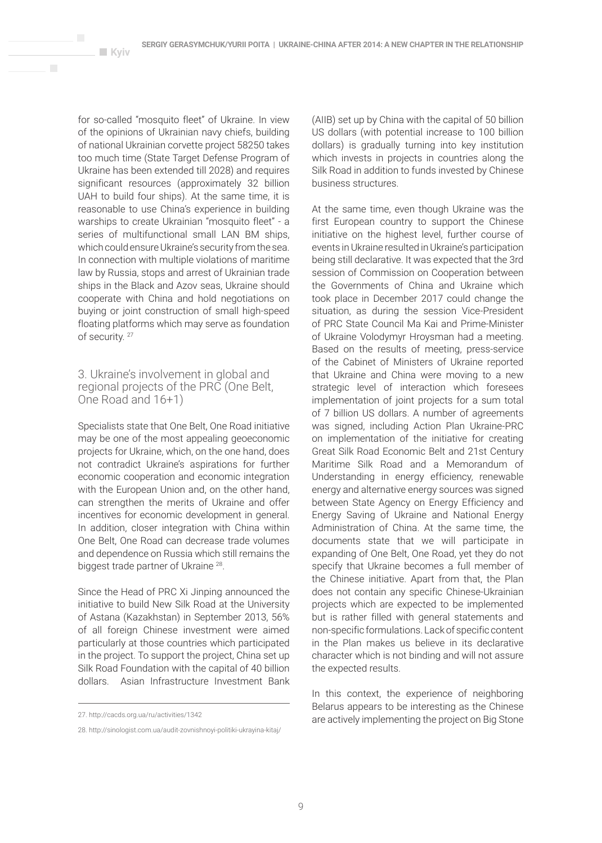for so-called "mosquito fleet" of Ukraine. In view of the opinions of Ukrainian navy chiefs, building of national Ukrainian corvette project 58250 takes too much time (State Target Defense Program of Ukraine has been extended till 2028) and requires significant resources (approximately 32 billion UAH to build four ships). At the same time, it is reasonable to use China's experience in building warships to create Ukrainian "mosquito fleet" - a series of multifunctional small LAN BM ships, which could ensure Ukraine's security from the sea. In connection with multiple violations of maritime law by Russia, stops and arrest of Ukrainian trade ships in the Black and Azov seas, Ukraine should cooperate with China and hold negotiations on buying or joint construction of small high-speed floating platforms which may serve as foundation of security.<sup>27</sup>

**Kyiv** 

 $\mathbf{r}$ 

3. Ukraine's involvement in global and regional projects of the PRC (One Belt, One Road and 16+1)

Specialists state that One Belt, One Road initiative may be one of the most appealing geoeconomic projects for Ukraine, which, on the one hand, does not contradict Ukraine's aspirations for further economic cooperation and economic integration with the European Union and, on the other hand, can strengthen the merits of Ukraine and offer incentives for economic development in general. In addition, closer integration with China within One Belt, One Road can decrease trade volumes and dependence on Russia which still remains the biggest trade partner of Ukraine 28.

Since the Head of PRC Xi Jinping announced the initiative to build New Silk Road at the University of Astana (Kazakhstan) in September 2013, 56% of all foreign Chinese investment were aimed particularly at those countries which participated in the project. To support the project, China set up Silk Road Foundation with the capital of 40 billion dollars. Asian Infrastructure Investment Bank

(AIIB) set up by China with the capital of 50 billion US dollars (with potential increase to 100 billion dollars) is gradually turning into key institution which invests in projects in countries along the Silk Road in addition to funds invested by Chinese business structures.

At the same time, even though Ukraine was the first European country to support the Chinese initiative on the highest level, further course of events in Ukraine resulted in Ukraine's participation being still declarative. It was expected that the 3rd session of Commission on Cooperation between the Governments of China and Ukraine which took place in December 2017 could change the situation, as during the session Vice-President of PRC State Council Ma Kai and Prime-Minister of Ukraine Volodymyr Hroysman had a meeting. Based on the results of meeting, press-service of the Cabinet of Ministers of Ukraine reported that Ukraine and China were moving to a new strategic level of interaction which foresees implementation of joint projects for a sum total of 7 billion US dollars. A number of agreements was signed, including Action Plan Ukraine-PRC on implementation of the initiative for creating Great Silk Road Economic Belt and 21st Century Maritime Silk Road and a Memorandum of Understanding in energy efficiency, renewable energy and alternative energy sources was signed between State Agency on Energy Efficiency and Energy Saving of Ukraine and National Energy Administration of China. At the same time, the documents state that we will participate in expanding of One Belt, One Road, yet they do not specify that Ukraine becomes a full member of the Chinese initiative. Apart from that, the Plan does not contain any specific Chinese-Ukrainian projects which are expected to be implemented but is rather filled with general statements and non-specific formulations. Lack of specific content in the Plan makes us believe in its declarative character which is not binding and will not assure the expected results.

In this context, the experience of neighboring Belarus appears to be interesting as the Chinese are actively implementing the project on Big Stone

<sup>27.</sup> http://cacds.org.ua/ru/activities/1342

<sup>28.</sup> http://sinologist.com.ua/audit-zovnishnoyi-politiki-ukrayina-kitaj/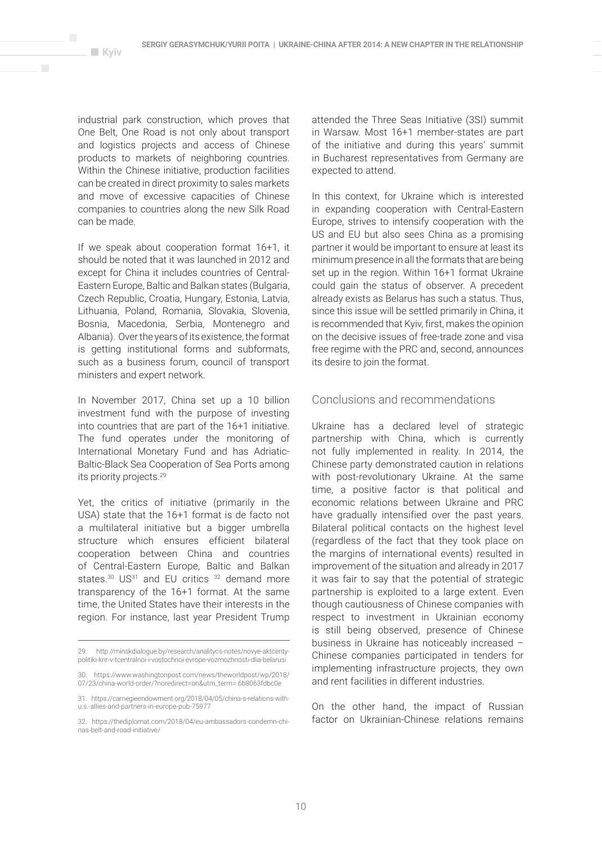$\overline{\phantom{a}}$ 

industrial park construction, which proves that One Belt, One Road is not only about transport and logistics projects and access of Chinese products to markets of neighboring countries. Within the Chinese initiative, production facilities can be created in direct proximity to sales markets and move of excessive capacities of Chinese companies to countries along the new Silk Road can be made.

If we speak about cooperation format 16+1, it should be noted that it was launched in 2012 and except for China it includes countries of Central-Eastern Europe, Baltic and Balkan states (Bulgaria, Czech Republic, Croatia, Hungary, Estonia, Latvia, Lithuania, Poland, Romania, Slovakia, Slovenia, Bosnia, Macedonia, Serbia, Montenegro and Albania). Over the years of its existence, the format is getting institutional forms and subformats, such as a business forum, council of transport ministers and expert network.

In November 2017, China set up a 10 billion investment fund with the purpose of investing into countries that are part of the 16+1 initiative. The fund operates under the monitoring of International Monetary Fund and has Adriatic-Baltic-Black Sea Cooperation of Sea Ports among its priority projects.29

Yet, the critics of initiative (primarily in the USA) state that the 16+1 format is de facto not a multilateral initiative but a bigger umbrella structure which ensures efficient bilateral cooperation between China and countries of Central-Eastern Europe, Baltic and Balkan states.<sup>30</sup> US<sup>31</sup> and EU critics <sup>32</sup> demand more transparency of the 16+1 format. At the same time, the United States have their interests in the region. For instance, last year President Trump attended the Three Seas Initiative (3SI) summit in Warsaw. Most 16+1 member-states are part of the initiative and during this years' summit in Bucharest representatives from Germany are expected to attend.

In this context, for Ukraine which is interested in expanding cooperation with Central-Eastern Europe, strives to intensify cooperation with the US and EU but also sees China as a promising partner it would be important to ensure at least its minimum presence in all the formats that are being set up in the region. Within 16+1 format Ukraine could gain the status of observer. A precedent already exists as Belarus has such a status. Thus, since this issue will be settled primarily in China, it is recommended that Kyiv, first, makes the opinion on the decisive issues of free-trade zone and visa free regime with the PRC and, second, announces its desire to join the format.

# Conclusions and recommendations

Ukraine has a declared level of strategic partnership with China, which is currently not fully implemented in reality. In 2014, the Chinese party demonstrated caution in relations with post-revolutionary Ukraine. At the same time, a positive factor is that political and economic relations between Ukraine and PRC have gradually intensified over the past years. Bilateral political contacts on the highest level (regardless of the fact that they took place on the margins of international events) resulted in improvement of the situation and already in 2017 it was fair to say that the potential of strategic partnership is exploited to a large extent. Even though cautiousness of Chinese companies with respect to investment in Ukrainian economy is still being observed, presence of Chinese business in Ukraine has noticeably increased – Chinese companies participated in tenders for implementing infrastructure projects, they own and rent facilities in different industries.

On the other hand, the impact of Russian factor on Ukrainian-Chinese relations remains

<sup>29.</sup> http://minskdialogue.by/research/analitycs-notes/novye-aktcentypolitiki-knr-v-tcentralnoi-i-vostochnoi-evrope-vozmozhnosti-dlia-belarusi

<sup>30.</sup> https://www.washingtonpost.com/news/theworldpost/wp/2018/ 07/23/china-world-order/?noredirect=on&utm\_term=.6b8063fdbc0e

<sup>31.</sup> https://carnegieendowment.org/2018/04/05/china-s-relations-withu.s.-allies-and-partners-in-europe-pub-75977

<sup>32.</sup> https://thediplomat.com/2018/04/eu-ambassadors-condemn-chinas-belt-and-road-initiative/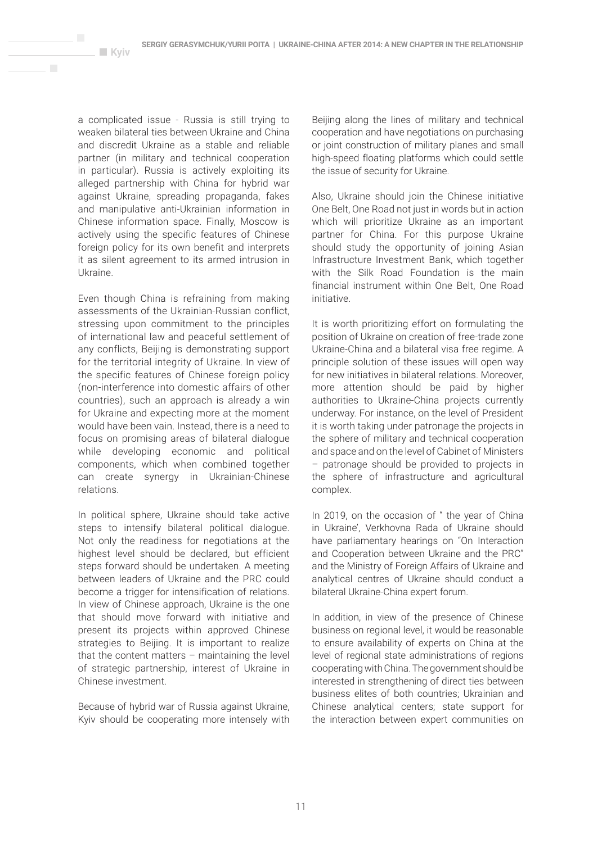a complicated issue - Russia is still trying to weaken bilateral ties between Ukraine and China and discredit Ukraine as a stable and reliable partner (in military and technical cooperation in particular). Russia is actively exploiting its alleged partnership with China for hybrid war against Ukraine, spreading propaganda, fakes and manipulative anti-Ukrainian information in Chinese information space. Finally, Moscow is actively using the specific features of Chinese foreign policy for its own benefit and interprets it as silent agreement to its armed intrusion in Ukraine.

**Kyiv** 

 $\mathbf{r}$ 

Even though China is refraining from making assessments of the Ukrainian-Russian conflict, stressing upon commitment to the principles of international law and peaceful settlement of any conflicts, Beijing is demonstrating support for the territorial integrity of Ukraine. In view of the specific features of Chinese foreign policy (non-interference into domestic affairs of other countries), such an approach is already a win for Ukraine and expecting more at the moment would have been vain. Instead, there is a need to focus on promising areas of bilateral dialogue while developing economic and political components, which when combined together can create synergy in Ukrainian-Chinese relations.

In political sphere, Ukraine should take active steps to intensify bilateral political dialogue. Not only the readiness for negotiations at the highest level should be declared, but efficient steps forward should be undertaken. A meeting between leaders of Ukraine and the PRC could become a trigger for intensification of relations. In view of Chinese approach, Ukraine is the one that should move forward with initiative and present its projects within approved Chinese strategies to Beijing. It is important to realize that the content matters  $-$  maintaining the level of strategic partnership, interest of Ukraine in Chinese investment.

Because of hybrid war of Russia against Ukraine, Kyiv should be cooperating more intensely with Beijing along the lines of military and technical cooperation and have negotiations on purchasing or joint construction of military planes and small high-speed floating platforms which could settle the issue of security for Ukraine.

Also, Ukraine should join the Chinese initiative One Belt, One Road not just in words but in action which will prioritize Ukraine as an important partner for China. For this purpose Ukraine should study the opportunity of joining Asian Infrastructure Investment Bank, which together with the Silk Road Foundation is the main financial instrument within One Belt, One Road initiative.

It is worth prioritizing effort on formulating the position of Ukraine on creation of free-trade zone Ukraine-China and a bilateral visa free regime. A principle solution of these issues will open way for new initiatives in bilateral relations. Moreover, more attention should be paid by higher authorities to Ukraine-China projects currently underway. For instance, on the level of President it is worth taking under patronage the projects in the sphere of military and technical cooperation and space and on the level of Cabinet of Ministers – patronage should be provided to projects in the sphere of infrastructure and agricultural complex.

In 2019, on the occasion of " the year of China in Ukraine', Verkhovna Rada of Ukraine should have parliamentary hearings on "On Interaction and Cooperation between Ukraine and the PRC" and the Ministry of Foreign Affairs of Ukraine and analytical centres of Ukraine should conduct a bilateral Ukraine-China expert forum.

In addition, in view of the presence of Chinese business on regional level, it would be reasonable to ensure availability of experts on China at the level of regional state administrations of regions cooperating with China. The government should be interested in strengthening of direct ties between business elites of both countries; Ukrainian and Chinese analytical centers; state support for the interaction between expert communities on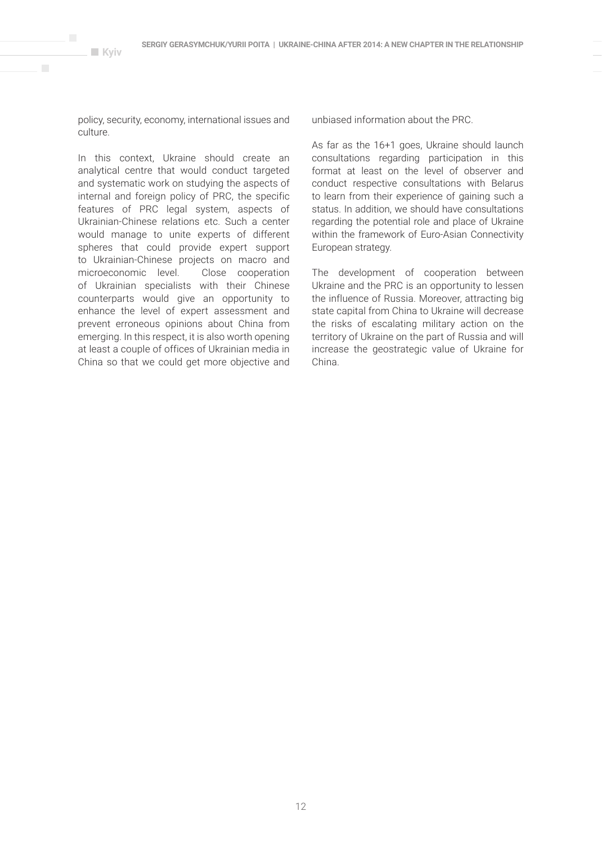policy, security, economy, international issues and culture.

**Kyiv**

 $\overline{\phantom{a}}$ 

In this context, Ukraine should create an analytical centre that would conduct targeted and systematic work on studying the aspects of internal and foreign policy of PRC, the specific features of PRC legal system, aspects of Ukrainian-Chinese relations etc. Such a center would manage to unite experts of different spheres that could provide expert support to Ukrainian-Chinese projects on macro and microeconomic level. Close cooperation of Ukrainian specialists with their Chinese counterparts would give an opportunity to enhance the level of expert assessment and prevent erroneous opinions about China from emerging. In this respect, it is also worth opening at least a couple of offices of Ukrainian media in China so that we could get more objective and

unbiased information about the PRC.

As far as the 16+1 goes, Ukraine should launch consultations regarding participation in this format at least on the level of observer and conduct respective consultations with Belarus to learn from their experience of gaining such a status. In addition, we should have consultations regarding the potential role and place of Ukraine within the framework of Euro-Asian Connectivity European strategy.

The development of cooperation between Ukraine and the PRC is an opportunity to lessen the influence of Russia. Moreover, attracting big state capital from China to Ukraine will decrease the risks of escalating military action on the territory of Ukraine on the part of Russia and will increase the geostrategic value of Ukraine for China.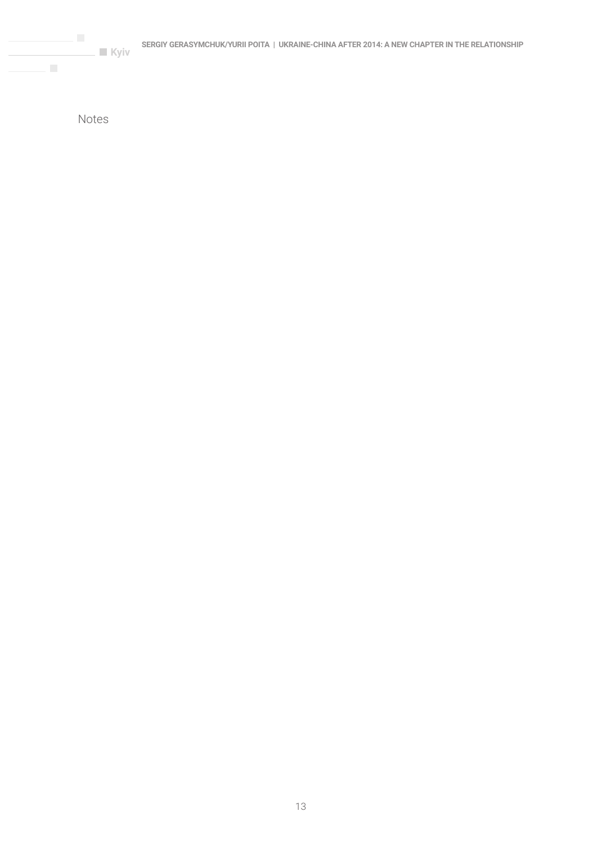Notes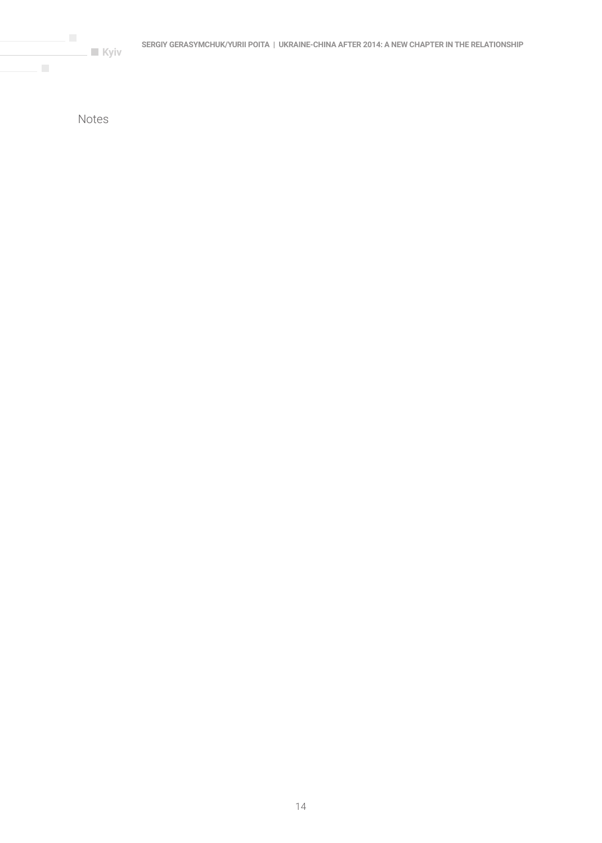**Kyiv** 

Notes

 $\mathcal{L}$